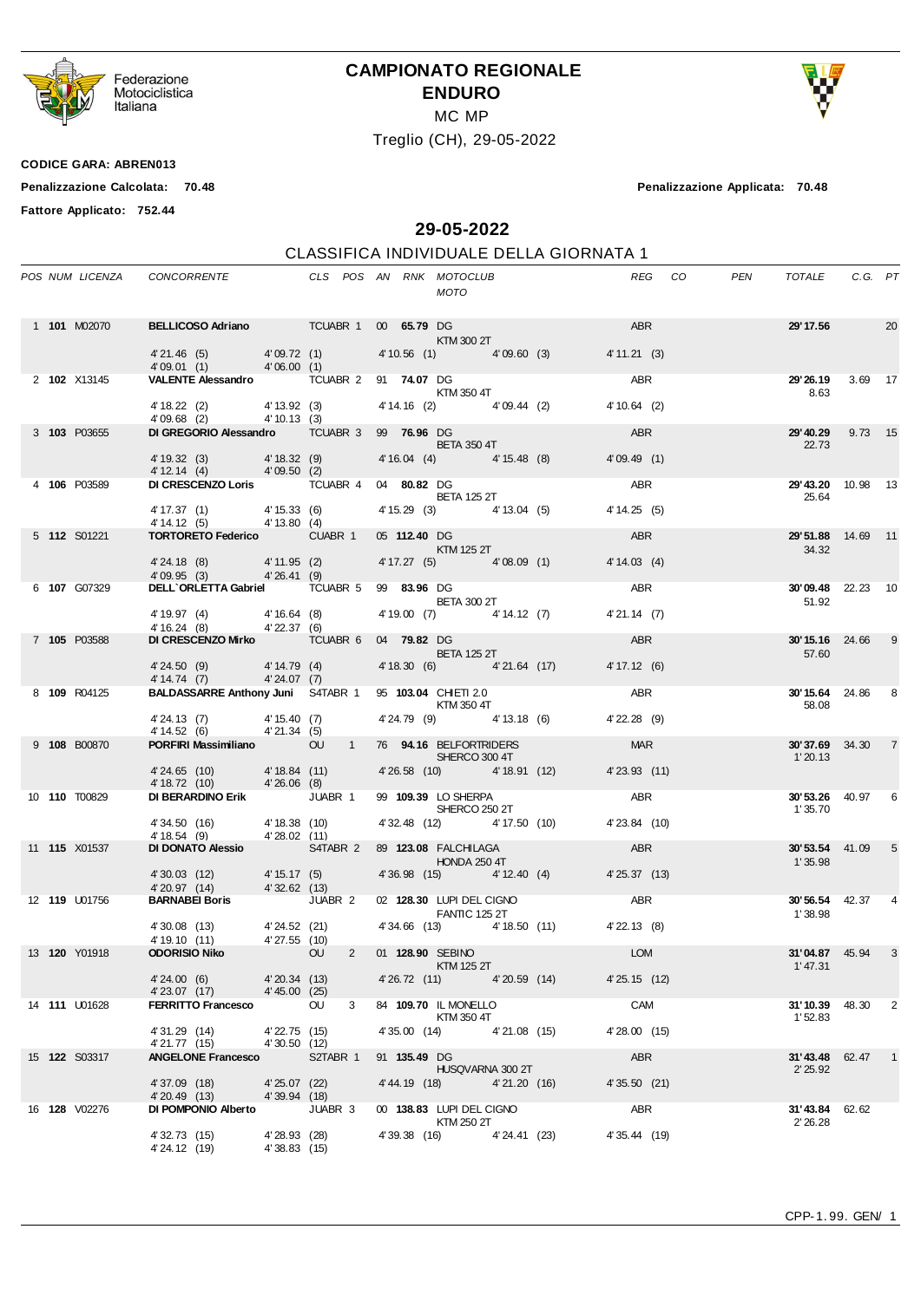

Federazione<br>Motociclistica<br>Italiana

## **CAMPIONATO REGIONALE ENDURO** MC MP





**Fattore Applicato: 752.44**

**Penalizzazione Calcolata: 70.48 Penalizzazione Applicata: 70.48**

**29-05-2022**

### CLASSIFICA INDIVIDUALE DELLA GIORNATA 1

|  | POS NUM LICENZA      | CONCORRENTE CLS POS AN RNK MOTOCLUB                                  |                              |   |              | MOTO                                          |                                        |                  | REG CO | PEN | TOTALE C.G. PT                      |   |
|--|----------------------|----------------------------------------------------------------------|------------------------------|---|--------------|-----------------------------------------------|----------------------------------------|------------------|--------|-----|-------------------------------------|---|
|  | 1 101 M02070         |                                                                      |                              |   |              | <b>KTM 300 2T</b>                             |                                        |                  |        |     | <b>29'17.56</b> 20                  |   |
|  |                      | $4'$ 21.46 (5) $4'$ 09.72 (1)<br>$4'$ 09.01 (1) $4'$ 06.00 (1)       |                              |   |              |                                               | 4' 10.56 (1) 4' 09.60 (3)              | 4' 11.21 (3)     |        |     |                                     |   |
|  | 2 102 X13145         | VALENTE Alessandro TCUABR 2 91 74.07 DG<br>KTM 350 4T                |                              |   |              |                                               |                                        | ABR              |        |     | 29'26.19 3.69 17<br>8.63            |   |
|  |                      | 4' 18.22 (2) 4' 13.92 (3)<br>4' 09.68 (2) 4' 10.13 (3)               |                              |   |              | 4' 14.16 (2) 4' 09.44 (2)                     |                                        | 4'10.64(2)       |        |     |                                     |   |
|  | 3 103 P03655         | DI GREGORIO Alessandro TCUABR 3 99 76.96 DG                          |                              |   |              | <b>BETA 350 4T</b>                            |                                        | <b>ABR</b>       |        |     | <b>29'40.29</b> 9.73 15<br>22.73    |   |
|  |                      | 4' 19.32 (3) 4' 18.32 (9)<br>4' 12.14 (4) 4' 09.50 (2)               |                              |   |              | 4' 16.04 (4) 4' 15.48 (8)                     |                                        | 4'09.49 (1)      |        |     |                                     |   |
|  | 4 106 P03589         | DI CRESCENZO Loris TCUABR 4 04 80.82 DG                              |                              |   |              | <b>BETA 125 2T</b>                            |                                        | ABR              |        |     | 29'43.20 10.98 13<br>25.64          |   |
|  |                      | 4' 17.37 (1) 4' 15.33 (6)<br>4' 14.12 (5) 4' 13.80 (4)               |                              |   |              |                                               | 4' 15.29 (3) 4' 13.04 (5) 4' 14.25 (5) |                  |        |     |                                     |   |
|  | 5 <b>112 S01221</b>  | <b>TORTORETO Federico</b> CUABR 1                                    |                              |   |              | 05 112.40 DG<br>$KTM$ 125 2T                  |                                        | ABR              |        |     | 29'51.88 14.69 11<br>34.32          |   |
|  |                      | 4' 24.18 (8) 4' 11.95 (2)<br>$4'09.95$ (3) $4'26.41$ (9)             |                              |   |              |                                               | 4'17.27 (5) 4'08.09 (1) 4'14.03 (4)    |                  |        |     |                                     |   |
|  | 6 107 G07329         | DELL'ORLETTA Gabriel TCUABR 5 99 83.96 DG                            |                              |   |              |                                               |                                        | ABR              |        |     | 30'09.48 22.23 10                   |   |
|  |                      | 4' 19.97 (4) 4' 16.64 (8)<br>4' 16.24 (8) 4' 22.37 (6)               |                              |   |              | <b>BETA 300 2T</b>                            | 4' 19.00 (7) 4' 14.12 (7) 4' 21.14 (7) |                  |        |     | 51.92                               |   |
|  | 7 105 P03588         | DI CRESCENZO Mirko TCUABR 6 04 79.82 DG                              |                              |   |              |                                               |                                        | ABR <sub>2</sub> |        |     | <b>30'15.16</b> 24.66               | 9 |
|  |                      | 4' 24.50 (9) 4' 14.79 (4)<br>4' 14.74 (7) 4' 24.07 (7)               |                              |   |              | <b>BETA 125 2T</b>                            | 4'18.30 (6) 4'21.64 (17) 4'17.12 (6)   |                  |        |     | 57.60                               |   |
|  | 8 109 R04125         | BALDASSARRE Anthony Juni S4TABR 1 95 103.04 CHIETI 2.0<br>KTM 350 4T |                              |   |              |                                               |                                        | ABR              |        |     | 30'15.64 24.86 8<br>58.08           |   |
|  |                      | 4' 24.13 (7) 4' 15.40 (7)<br>4' 14.52 (6) 4' 21.34 (5)               |                              |   |              | 4' 24.79 (9) 4' 13.18 (6)                     |                                        | 4' 22.28 (9)     |        |     |                                     |   |
|  | 9 108 B00870         | PORFIRI Massimiliano 00 1 76 94.16 BELFORTRIDERS                     |                              |   |              | SHERCO 300 4T                                 |                                        | <b>MAR</b>       |        |     | <b>30'37.69</b> 34.30 7<br>1'20.13  |   |
|  |                      | 4' 24.65 (10) 4' 18.84 (11)<br>4' 18.72 (10) 4' 26.06 (8)            |                              |   |              | 4'26.58 (10) 4'18.91 (12)                     |                                        | 4'23.93 (11)     |        |     |                                     |   |
|  | 10 110 T00829        | <b>DI BERARDINO Erik JUABR 1</b>                                     |                              |   |              | 99 <b>109.39</b> LO SHERPA<br>SHERCO 250 2T   |                                        | ABR              |        |     | <b>30' 53.26</b> 40.97<br>1' 35.70  | 6 |
|  |                      | 4' 34.50 (16) 4' 18.38 (10)<br>4' 18.54 (9) 4' 28.02 (11)            |                              |   |              |                                               | 4' 32.48 (12) 4' 17.50 (10)            | 4'23.84 (10)     |        |     |                                     |   |
|  | 11 <b>115</b> X01537 | DI DONATO Alessio S4TABR 2 89 123.08 FALCHILAGA                      |                              |   |              | <b>HONDA 250 4T</b>                           |                                        | ABR              |        |     | <b>30'53.54</b> 41.09<br>1'35.98    | 5 |
|  |                      | 4' 30.03 (12) 4' 15.17 (5)<br>4' 20.97 (14) 4' 32.62 (13)            |                              |   |              |                                               | 4'36.98 (15) 4'12.40 (4) 4'25.37 (13)  |                  |        |     |                                     |   |
|  | 12 <b>119</b> U01756 | <b>BARNABEI Boris</b> JUABR 2                                        |                              |   |              | <b>FANTIC 125 2T</b>                          | 02 128.30 LUPI DEL CIGNO ABR           |                  |        |     | <b>30'56.54</b> 42.37<br>1'38.98    |   |
|  |                      | 4' 30.08 (13) 4' 24.52 (21)<br>4' 19.10 (11) 4' 27.55 (10)           |                              |   |              |                                               | 4'34.66 (13) 4'18.50 (11) 4'22.13 (8)  |                  |        |     |                                     |   |
|  | 13 <b>120</b> Y01918 | <b>ODORISIO Niko</b>                                                 | <b>OU</b>                    |   |              | 2 01 128.90 SEBINO<br>KTM 125 2T              |                                        | <b>LOM</b>       |        |     | 31'04.87 45.94<br>1'47.31           |   |
|  |                      | 4'24.00 (6) 4'20.34 (13)<br>4' 23.07 (17) 4' 45.00 (25)              |                              |   |              |                                               | 4'26.72 (11) 4'20.59 (14) 4'25.15 (12) |                  |        |     |                                     |   |
|  | 14 <b>111</b> U01628 | FERRITTO Francesco OU                                                |                              | 3 |              | 84 109.70 IL MONELLO<br>KTM 350 4T            |                                        | <b>CAM</b>       |        |     | <b>31'10.39</b> 48.30 2<br>1'52.83  |   |
|  |                      | 4' 31.29 (14)<br>4'21.77 (15) 4'30.50 (12)                           | 4'22.75 (15)                 |   |              | 4'35.00 (14) 4'21.08 (15)                     |                                        | 4'28.00 (15)     |        |     |                                     |   |
|  | 15 <b>122</b> S03317 | <b>ANGELONE Francesco</b> S2TABR 1                                   |                              |   | 91 135.49 DG | <b>HUSQVARNA 300 2T</b>                       |                                        | ABR              |        |     | <b>31'43.48</b> 62.47 1<br>2' 25.92 |   |
|  |                      | 4'37.09 (18)<br>4' 20.49 (13)                                        | 4'25.07 (22)<br>4'39.94 (18) |   |              | 4'44.19 (18) 4'21.20 (16)                     |                                        | 4' 35.50 (21)    |        |     |                                     |   |
|  | 16 <b>128</b> V02276 | DI POMPONIO Alberto JUABR 3                                          |                              |   |              | 00 138.83 LUPI DEL CIGNO<br><b>KTM 250 2T</b> |                                        | ABR              |        |     | 31'43.84 62.62<br>2' 26.28          |   |
|  |                      | 4' 32.73 (15)<br>4' 24.12 (19)                                       | 4'28.93 (28)<br>4'38.83(15)  |   |              | 4'39.38 (16) 4'24.41 (23)                     |                                        | 4'35.44 (19)     |        |     |                                     |   |

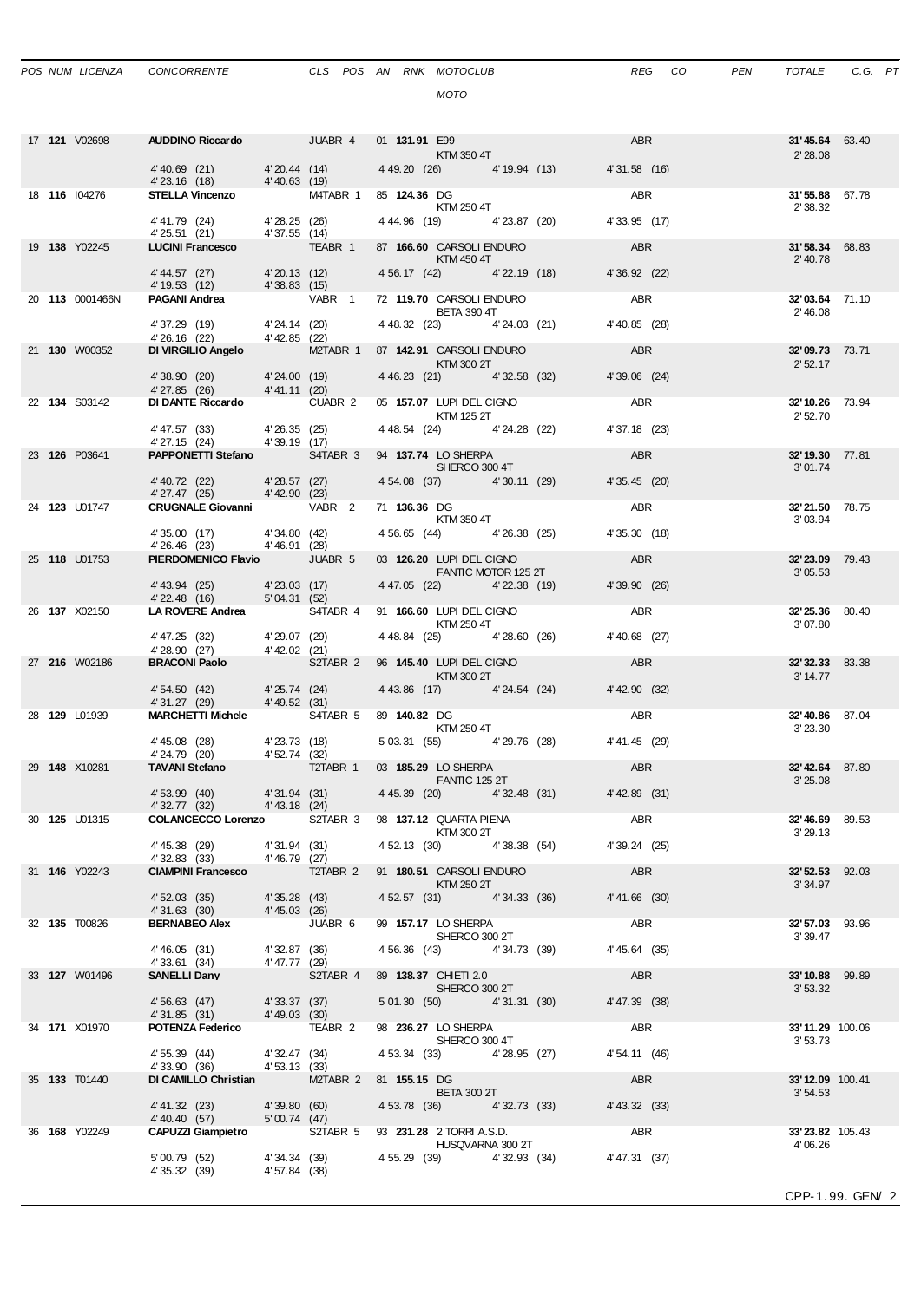## *MOTO*

|  | 17 <b>121</b> V02698 | AUDDINO Riccardo JUABR 4 01 131.91 E99                                                                  |                |                                        |  | KTM 350 4T                                   |                                           | ABR           | 31'45.64 63.40<br>2' 28.08 |  |
|--|----------------------|---------------------------------------------------------------------------------------------------------|----------------|----------------------------------------|--|----------------------------------------------|-------------------------------------------|---------------|----------------------------|--|
|  |                      | 4'40.69 (21) 4'20.44 (14) 4'49.20 (26) 4'19.94 (13) 4'31.58 (16)                                        |                |                                        |  |                                              |                                           |               |                            |  |
|  | 18 116 104276        | 4' 23.16 (18) 4' 40.63 (19)<br>STELLA Vincenzo M4TABR 1 85 124.36 DG                                    |                |                                        |  |                                              |                                           | ABR           | 31'55.88 67.78             |  |
|  |                      |                                                                                                         |                |                                        |  | <b>KTM 250 4T</b>                            | 4'44.96 (19) 4'23.87 (20)                 | 4'33.95 (17)  | 2' 38.32                   |  |
|  |                      | 4' 41.79 (24) 4' 28.25 (26)<br>4' 25.51 (21) 4' 37.55 (14)                                              |                |                                        |  |                                              |                                           |               |                            |  |
|  | 19 138 Y02245        | LUCINI Francesco TEABR 1                                                                                |                |                                        |  | <b>Example 12 STM 450 4T</b>                 | 87 166.60 CARSOLI ENDURO ABR              |               | 31'58.34 68.83<br>2' 40.78 |  |
|  |                      | 4' 44.57 (27) 4' 20.13 (12)<br>4' 19.53 (12) 4' 38.83 (15)                                              |                |                                        |  |                                              | 4' 56.17 (42) 4' 22.19 (18) 4' 36.92 (22) |               |                            |  |
|  | 20 113 0001466N      | PAGANI Andrea VABR 1 72 119.70 CARSOLI ENDURO                                                           |                |                                        |  |                                              |                                           | <b>ABR</b>    | 32'03.64 71.10             |  |
|  |                      | 4' 37.29 (19) 4' 24.14 (20)                                                                             |                |                                        |  | <b>BETA 390 4T</b>                           | 4' 48.32 (23) 4' 24.03 (21) 4' 40.85 (28) |               | 2' 46.08                   |  |
|  |                      | 4' 26.16 (22) 4' 42.85 (22)                                                                             |                |                                        |  |                                              |                                           |               |                            |  |
|  | 21 <b>130</b> W00352 | DI VIRGILIO Angelo M2TABR 1 87 142.91 CARSOLI ENDURO                                                    |                |                                        |  | <b>Example 12 ST KTM 300 2T</b>              |                                           | <b>ABR</b>    | 32'09.73 73.71<br>2'52.17  |  |
|  |                      | 4'38.90 (20) $4'24.00$ (19) $4'46.23$ (21) $4'32.58$ (32) $4'39.06$ (24)<br>4'27.85 (26) $4'41.11$ (20) |                |                                        |  |                                              |                                           |               |                            |  |
|  | 22 134 S03142        | DI DANTE Riccardo CUABR 2 05 157.07 LUPI DEL CIGNO                                                      |                |                                        |  |                                              |                                           | ABR           | 32'10.26 73.94             |  |
|  |                      | 4'47.57 (33) 4'26.35 (25) 4'48.54 (24) 4'24.28 (22)                                                     |                |                                        |  | KTM 125 2T                                   |                                           | 4' 37.18 (23) | 2' 52.70                   |  |
|  | 23 126 P03641        | $4' 27.15 (24)$ $4' 39.19 (17)$<br><b>PAPPONETTI Stefano</b> S4TABR 3 94 137.74 LO SHERPA               |                |                                        |  |                                              |                                           | <b>ABR</b>    | 32'19.30 77.81             |  |
|  |                      |                                                                                                         |                |                                        |  | SHERCO 300 4T                                |                                           |               | 3'01.74                    |  |
|  |                      | 4'40.72 (22) 4'28.57 (27)<br>4' 27.47 (25) 4' 42.90 (23)                                                |                |                                        |  |                                              | 4' 54.08 (37) 4' 30.11 (29)               | 4'35.45 (20)  |                            |  |
|  | 24 <b>123</b> U01747 | <b>CRUGNALE Giovanni</b> VABR 2                                                                         |                |                                        |  | 71 136.36 DG<br>$KTM$ 350 4T                 |                                           | ABR           | 32'21.50 78.75<br>3'03.94  |  |
|  |                      | 4' 35.00 (17) 4' 34.80 (42)<br>4' 26.46 (23) 4' 46.91 (28)                                              |                |                                        |  |                                              | 4' 56.65 (44) 4' 26.38 (25)               | 4'35.30 (18)  |                            |  |
|  | 25 118 U01753        | <b>PIERDOMENICO Flavio</b> JUABR 5                                                                      |                |                                        |  | 03 126.20 LUPI DEL CIGNO                     |                                           | ABR           | 32'23.09 79.43             |  |
|  |                      | 4'43.94 (25) 4'23.03 (17)                                                                               |                |                                        |  | <b>EXAMPLE PROPERTY FANTIC MOTOR 125 2T</b>  | 4'47.05 (22) 4'22.38 (19)                 | 4'39.90 (26)  | 3'05.53                    |  |
|  |                      | 4'22.48 (16) 5'04.31 (52)                                                                               |                |                                        |  |                                              |                                           |               |                            |  |
|  | 26 137 X02150        | LA ROVERE Andrea S4TABR 4 91 166.60 LUPI DEL CIGNO                                                      |                |                                        |  | <b>KTM 250 4T</b>                            |                                           | <b>ABR</b>    | 32'25.36 80.40<br>3'07.80  |  |
|  |                      | 4' 47.25 (32) 4' 29.07 (29)<br>4' 28.90 (27) 4' 42.02 (21)                                              |                |                                        |  | 4'48.84 (25) 4'28.60 (26)                    |                                           | 4'40.68 (27)  |                            |  |
|  | 27 <b>216</b> W02186 | BRACONI Paolo<br>SZTABR 2 96 145.40 LUPI DEL CIGNO                                                      |                |                                        |  |                                              |                                           | <b>ABR</b>    | 32'32.33 83.38             |  |
|  |                      | 4' 54.50 (42) 4' 25.74 (24) 4' 43.86 (17) 4' 24.54 (24)                                                 |                |                                        |  | <b>Example 18 KTM 300 2T</b>                 |                                           | 4' 42.90 (32) | 3' 14.77                   |  |
|  | 28 <b>129</b> L01939 | $4'31.27$ (29) $4'49.52$ (31)<br>MARCHETTI Michele S4TABR 5 89 140.82 DG                                |                |                                        |  |                                              | <b>ABR</b>                                |               | <b>32'40.86</b> 87.04      |  |
|  |                      |                                                                                                         |                |                                        |  | <b>KTM 250 4T</b>                            | 5' 03.31 (55) 4' 29.76 (28) 4' 41.45 (29) |               | 3'23.30                    |  |
|  |                      | 4' 45.08 (28) 4' 23.73 (18)<br>4' 24.79 (20) 4' 52.74 (32)<br><b>TAVANI Stefano</b> T2TABR 1            |                |                                        |  |                                              |                                           |               |                            |  |
|  | 29 148 X10281        |                                                                                                         |                |                                        |  | 03 185.29 LO SHERPA<br><b>EXAMPLE 125 2T</b> |                                           | <b>ABR</b>    | 32'42.64 87.80<br>3'25.08  |  |
|  |                      | 4' 53.99 (40)   4' 31.94 (31)   4' 45.39 (20)   4' 32.48 (31)   4' 42.89 (31)   4' 42.89 (31)           |                |                                        |  |                                              |                                           |               |                            |  |
|  | 30 125 U01315        | COLANCECCO Lorenzo S2TABR 3 98 137.12 QUARTA PIENA                                                      |                |                                        |  |                                              |                                           | ABR           | <b>32'46.69</b> 89.53      |  |
|  |                      | 4' 45.38 (29)                                                                                           |                | 4'31.94 (31) 4'52.13 (30) 4'38.38 (54) |  | KTM 300 2T                                   |                                           | 4'39.24 (25)  | 3'29.13                    |  |
|  | 31 <b>146</b> Y02243 | 4'32.83 (33)<br>CIAMPINI Francesco T2TABR 2 91 180.51 CARSOLI ENDURO                                    | 4'46.79 (27)   |                                        |  |                                              |                                           | ABR           | 32'52.53 92.03             |  |
|  |                      |                                                                                                         |                |                                        |  | KTM 250 2T                                   |                                           |               | 3' 34.97                   |  |
|  |                      | 4' 52.03 (35) 4' 35.28 (43)<br>4' 31.63 (30) 4' 45.03 (26)                                              |                |                                        |  |                                              | 4'52.57 (31) 4'34.33 (36)                 | 4'41.66 (30)  |                            |  |
|  | 32 135 T00826        | BERNABEO Alex JUABR 6                                                                                   |                |                                        |  | 99 157.17 LO SHERPA<br>SHERCO 300 2T         |                                           | <b>ABR</b>    | 32'57.03 93.96<br>3'39.47  |  |
|  |                      | 4'46.05 (31)                                                                                            |                | 4'32.87 (36)                           |  | 4' 56.36 (43) 4' 34.73 (39)                  |                                           | 4' 45.64 (35) |                            |  |
|  | 33 127 W01496        | 4'33.61 (34)<br><b>SANELLI Dany</b>                                                                     | $4'47.77$ (29) | S2TABR 4                               |  | 89 138.37 CHIETI 2.0                         |                                           | ABR           | 33'10.88 99.89             |  |
|  |                      | 4'56.63 (47)                                                                                            |                | 4'33.37 (37)                           |  | SHERCO 300 2T<br>5'01.30 (50) 4'31.31 (30)   |                                           | 4' 47.39 (38) | 3'53.32                    |  |
|  |                      | 4'31.85 (31)                                                                                            | 4' 49.03 (30)  |                                        |  |                                              |                                           |               |                            |  |
|  | 34 171 X01970        | <b>POTENZA Federico</b> TEABR 2                                                                         |                |                                        |  | 98 236.27 LO SHERPA<br>SHERCO 300 4T         |                                           | ABR           | 33'11.29 100.06<br>3'53.73 |  |
|  |                      | 4' 55.39 (44)<br>4'33.90 (36)                                                                           | 4'53.13 (33)   | $4'32.47$ (34)<br>$4'53.13$ (22)       |  | 4' 53.34 (33) 4' 28.95 (27)                  |                                           | 4' 54.11 (46) |                            |  |
|  | 35 <b>133</b> T01440 | DI CAMILLO Christian M2TABR 2 81 155.15 DG                                                              |                |                                        |  | BETA 300 2T                                  |                                           | ABR           | 33'12.09 100.41            |  |
|  |                      | 4'41.32 (23)                                                                                            |                | 4'39.80 (60)                           |  |                                              | 4' 53.78 (36) 4' 32.73 (33)               | 4' 43.32 (33) | 3'54.53                    |  |
|  | 36 168 Y02249        | 4' 40.40 (57)<br>CAPUZZI Giampietro S2TABR 5 93 231.28 2 TORRI A.S.D.                                   | 5'00.74(47)    |                                        |  |                                              |                                           | ABR           | 33'23.82 105.43            |  |
|  |                      |                                                                                                         |                |                                        |  | HUSQVARNA 300 2T                             |                                           |               | 4'06.26                    |  |
|  |                      | 5'00.79 (52)<br>4' 35.32 (39)                                                                           | 4'57.84 (38)   | 4' 34.34 (39)                          |  | 4' 55.29 (39) 4' 32.93 (34)                  |                                           | 4'47.31 (37)  |                            |  |
|  |                      |                                                                                                         |                |                                        |  |                                              |                                           |               |                            |  |

CPP-1. 99. GEN/ 2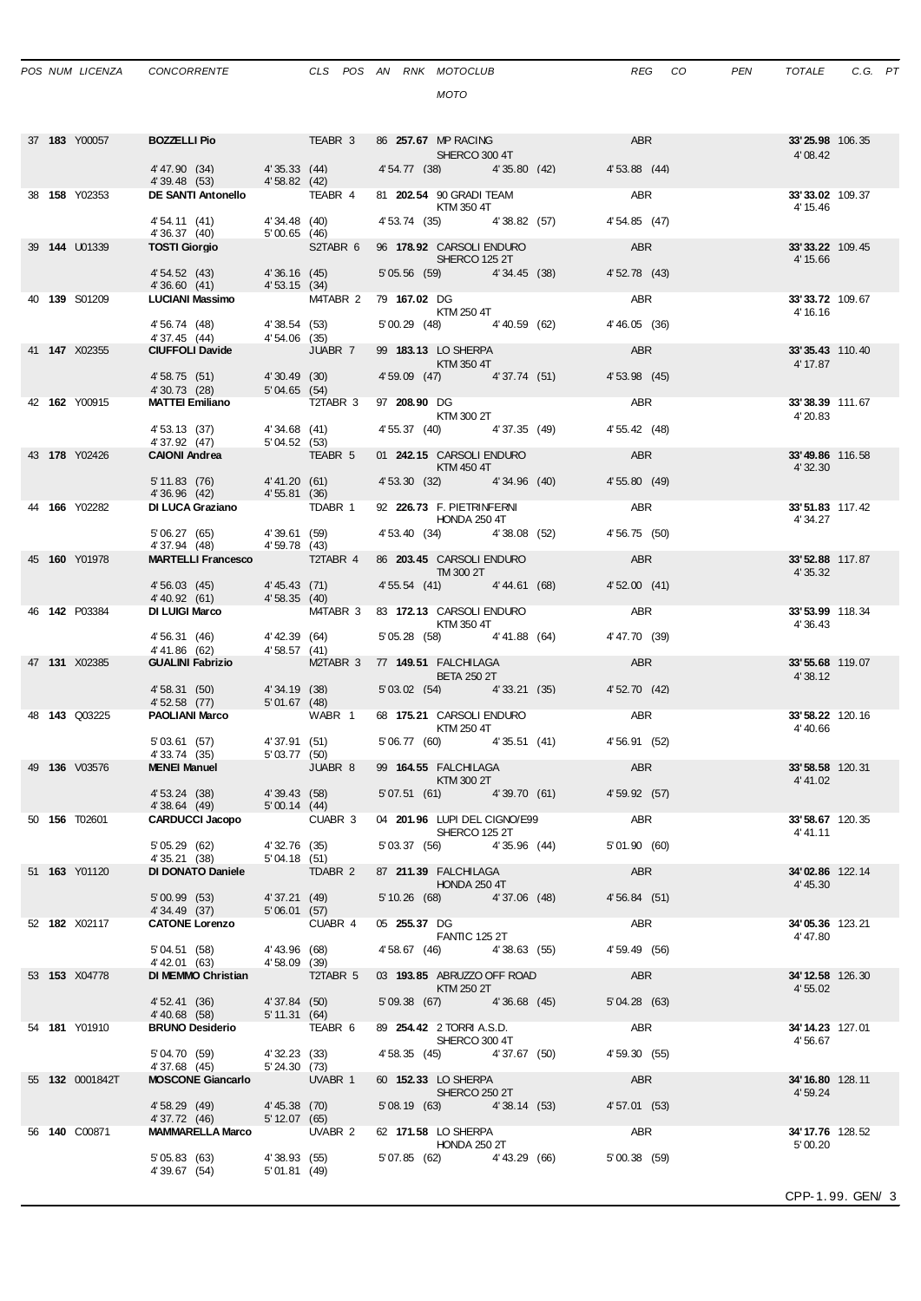| POS NUM LICENZA | <b>CONCORRE</b> |
|-----------------|-----------------|
|                 |                 |

|  | 37 183 Y00057          | <b>BOZZELLI Pio TEABR 3 86 257.67 MP RACING</b>                                    |                             |                                  | SHERCO 300 4T                                                                                                                                                                                                                    |                                           | ABR           | 33'25.98 106.35<br>4'08.42   |                 |
|--|------------------------|------------------------------------------------------------------------------------|-----------------------------|----------------------------------|----------------------------------------------------------------------------------------------------------------------------------------------------------------------------------------------------------------------------------|-------------------------------------------|---------------|------------------------------|-----------------|
|  |                        | 4'47.90 (34)                                                                       |                             | $4'35.33$ (44)<br>$4'58.82$ (42) |                                                                                                                                                                                                                                  | 4' 54.77 (38) 4' 35.80 (42)               | 4' 53.88 (44) |                              |                 |
|  | 38 <b>158</b> Y02353   | 4'39.48 (53)<br>DE SANTI Antonello TEABR 4 81 202.54 90 GRADI TEAM                 |                             |                                  |                                                                                                                                                                                                                                  |                                           | ABR           | 33'33.02 109.37              |                 |
|  |                        |                                                                                    |                             |                                  | KTM 350 4T                                                                                                                                                                                                                       |                                           |               | 4' 15.46                     |                 |
|  |                        | 4' 54.11 (41)                                                                      |                             | 4' 34.48 (40)                    | 4' 53.74 (35) 4' 38.82 (57)                                                                                                                                                                                                      |                                           | 4' 54.85 (47) |                              |                 |
|  | 39 144 U01339          | 4'36.37 (40) 5'00.65 (46)<br><b>TOSTI Giorgio</b> 52TABR 6<br><b>TOSTI Giorgio</b> |                             |                                  | 96 178.92 CARSOLI ENDURO                                                                                                                                                                                                         |                                           | <b>ABR</b>    | 33' 33.22 109.45             |                 |
|  |                        |                                                                                    |                             |                                  | SHERCO 125 2T<br>5' 05.56 (59) 4' 34.45 (38)                                                                                                                                                                                     |                                           | 4' 52.78 (43) | 4' 15.66                     |                 |
|  |                        | 4' 54.52 (43) 4' 36.16 (45)<br>4' 36.60 (41) 4' 53.15 (34)                         |                             |                                  |                                                                                                                                                                                                                                  |                                           |               |                              |                 |
|  | 40 139 S01209          | LUCIANI Massimo M4TABR 2 79 167.02 DG                                              |                             |                                  | <b>KTM 250 4T</b>                                                                                                                                                                                                                |                                           | ABR           | 33'33.72 109.67<br>4' 16.16  |                 |
|  |                        | 4' 56.74 (48) 4' 38.54 (53)                                                        |                             |                                  | 5' 00.29 (48) 4' 40.59 (62)                                                                                                                                                                                                      |                                           | 4' 46.05 (36) |                              |                 |
|  | 41 <b>147</b> X02355   | 4' 37.45 (44)<br><b>CIUFFOLI Davide</b> 4' 54.06 (35)                              |                             | JUABR 7                          | 99 183.13 LO SHERPA                                                                                                                                                                                                              |                                           | <b>ABR</b>    | 33' 35.43 110.40             |                 |
|  |                        |                                                                                    |                             |                                  | $\blacksquare$ $\blacksquare$ $\blacksquare$ $\blacksquare$ $\blacksquare$ $\blacksquare$ $\blacksquare$ $\blacksquare$ $\blacksquare$ $\blacksquare$ $\blacksquare$ $\blacksquare$ $\blacksquare$ $\blacksquare$ $\blacksquare$ |                                           |               | 4' 17.87                     |                 |
|  |                        | 4' 58.75 (51) 4' 30.49 (30)<br>4'30.73 (28) 5'04.65 (54)                           |                             |                                  | 4' 59.09 (47) 4' 37.74 (51)                                                                                                                                                                                                      |                                           | 4' 53.98 (45) |                              |                 |
|  | 42 162 Y00915          | <b>MATTEI Emiliano T2TABR 3</b>                                                    |                             |                                  | 97 208.90 DG                                                                                                                                                                                                                     |                                           | <b>ABR</b>    | 33'38.39 111.67              |                 |
|  |                        |                                                                                    |                             |                                  | KTM 300 2T<br>4' 55.37 (40) 4' 37.35 (49)                                                                                                                                                                                        |                                           | 4' 55.42 (48) | 4' 20.83                     |                 |
|  |                        | 4' 53.13 (37) 4' 34.68 (41)<br>4' 37.92 (47) 5' 04.52 (53)                         |                             |                                  |                                                                                                                                                                                                                                  |                                           |               |                              |                 |
|  | 43 178 Y02426          | <b>CAIONI Andrea</b>                                                               |                             | <b>TEABR 5</b>                   | 01 242.15 CARSOLI ENDURO<br><b>Example 18 KTM 450 4T</b>                                                                                                                                                                         |                                           | <b>ABR</b>    | 33'49.86 116.58<br>4' 32.30  |                 |
|  |                        | 5' 11.83 (76) 4' 41.20 (61)                                                        |                             |                                  | 4' 53.30 (32) 4' 34.96 (40)                                                                                                                                                                                                      |                                           | 4'55.80 (49)  |                              |                 |
|  | 44 166 Y02282          | 4'36.96 (42) 4'55.81 (36)<br>DI LUCA Graziano TDABR 1                              |                             |                                  | 92 226.73 F. PIETRINFERNI                                                                                                                                                                                                        |                                           | ABR           | 33'51.83 117.42              |                 |
|  |                        |                                                                                    |                             |                                  | <b>HONDA 250 4T</b>                                                                                                                                                                                                              |                                           |               | 4' 34.27                     |                 |
|  |                        | 5' 06.27 (65) 4' 39.61 (59)<br>4' 37.94 (48) 4' 59.78 (43)                         |                             |                                  | 4' 53.40 (34) 4' 38.08 (52)                                                                                                                                                                                                      |                                           | 4' 56.75 (50) |                              |                 |
|  | 45 160 Y01978          | <b>MARTELLI Francesco</b> T2TABR 4                                                 |                             |                                  | 86 203.45 CARSOLI ENDURO                                                                                                                                                                                                         |                                           | <b>ABR</b>    | 33' 52.88 117.87             |                 |
|  |                        |                                                                                    |                             |                                  | TM3002T                                                                                                                                                                                                                          | 4' 55.54 (41) 4' 44.61 (68)               | 4'52.00 (41)  | 4' 35.32                     |                 |
|  | 46 <b>142</b> P03384   | 4' 56.03 (45) 4' 45.43 (71)<br>4' 40.92 (61) 4' 58.35 (40)                         |                             |                                  |                                                                                                                                                                                                                                  |                                           | ABR           |                              |                 |
|  |                        | DI LUIGI Marco M4TABR 3 83 172.13 CARSOLI ENDURO                                   |                             |                                  | <b>KTM 350 4T</b>                                                                                                                                                                                                                |                                           |               | 33'53.99 118.34<br>4' 36.43  |                 |
|  |                        | 4' 56.31 (46) 4' 42.39 (64)<br>4'41.86 (62) 4'58.57 (41)                           |                             |                                  | 5' 05.28 (58) 4' 41.88 (64)                                                                                                                                                                                                      |                                           | 4'47.70 (39)  |                              |                 |
|  | 47 131 X02385          | <b>GUALINI Fabrizio</b>                                                            |                             | M2TABR 3 77 149.51 FALCHILAGA    |                                                                                                                                                                                                                                  |                                           | ABR           | 33'55.68 119.07              |                 |
|  |                        |                                                                                    |                             |                                  | <b>BETA 250 2T</b><br>5'03.02 (54) 4'33.21 (35)                                                                                                                                                                                  |                                           | 4' 52.70 (42) | 4' 38.12                     |                 |
|  |                        | 4' 58.31 (50) 4' 34.19 (38)<br>4' 52.58 (77) 5' 01.67 (48)                         |                             |                                  |                                                                                                                                                                                                                                  |                                           |               |                              |                 |
|  | 48 <b>143</b> Q03225   | PAOLIANI Marco WABR 1                                                              |                             |                                  | 68 175.21 CARSOLI ENDURO<br>KTM 250 4T                                                                                                                                                                                           |                                           | <b>ABR</b>    | 33' 58.22 120.16<br>4' 40.66 |                 |
|  |                        | 5'03.61 (57)                                                                       |                             | 4' 37.91 (51)                    |                                                                                                                                                                                                                                  | 5' 06.77 (60) 4' 35.51 (41) 4' 56.91 (52) |               |                              |                 |
|  | 49 136 V03576          | 4' 33.74 (35) 5' 03.77 (50)<br><b>MENEI Manuel</b>                                 |                             | JUABR 8                          | 99 164.55 FALCHILAGA                                                                                                                                                                                                             |                                           | <b>ABR</b>    | 33' 58.58 120.31             |                 |
|  |                        |                                                                                    |                             |                                  | KTM 300 2T                                                                                                                                                                                                                       |                                           |               | 4'41.02                      |                 |
|  |                        | 4' 53.24 (38)<br>4'38.64 (49)                                                      | 4'39.43 (58)<br>5'00.14(44) |                                  |                                                                                                                                                                                                                                  | 5'07.51 (61) 4'39.70 (61)                 | 4' 59.92 (57) |                              |                 |
|  | 50 <b>156</b> T02601   | CARDUCCI Jacopo                                                                    |                             | CUABR 3                          | 04 201.96 LUPI DEL CIGNO/E99                                                                                                                                                                                                     |                                           | ABR           | 33'58.67 120.35              |                 |
|  |                        |                                                                                    |                             |                                  | SHERCO 125 2T                                                                                                                                                                                                                    | 5' 03.37 (56) 4' 35.96 (44)               | 5'01.90 (60)  | 4' 41.11                     |                 |
|  |                        | 5' 05.29 (62) 4' 32.76 (35)<br>4' 35.21 (38) 5' 04.18 (51)                         |                             |                                  |                                                                                                                                                                                                                                  |                                           |               |                              |                 |
|  | 51 <b>163</b> Y01120   | DI DONATO Daniele TDABR 2 87 211.39 FALCHILAGA                                     |                             |                                  | <b>HONDA 250 4T</b>                                                                                                                                                                                                              |                                           | ABR           | 34'02.86 122.14<br>4' 45.30  |                 |
|  |                        | 5'00.99 (53)                                                                       |                             | 4' 37.21 (49)                    | 5' 10.26 (68) 4' 37.06 (48)                                                                                                                                                                                                      |                                           | 4'56.84 (51)  |                              |                 |
|  | 52 182 X02117          | 4'34.49 (37) 5'06.01 (57)<br>CATONE Lorenzo CUABR 4                                |                             |                                  | 05 255.37 DG                                                                                                                                                                                                                     |                                           | ABR           | 34'05.36 123.21              |                 |
|  |                        | 5'04.51(58)                                                                        |                             | 4'43.96 (68)                     | <b>FANTIC 125 2T</b><br>4' 58.67 (46) 4' 38.63 (55)                                                                                                                                                                              |                                           | 4' 59.49 (56) | 4' 47.80                     |                 |
|  |                        | 4'42.01 (63)                                                                       | 4'58.09 (39)                |                                  |                                                                                                                                                                                                                                  |                                           |               |                              |                 |
|  | 53 <b>153</b> X04778   | DI MEMMO Christian T2TABR 5                                                        |                             |                                  | 03 193.85 ABRUZZO OFF ROAD<br>KTM 250 2T                                                                                                                                                                                         |                                           | <b>ABR</b>    | 34'12.58 126.30<br>4'55.02   |                 |
|  |                        | 4' 52.41 (36)                                                                      |                             | 4'37.84 (50)                     | 5'09.38 (67) 4'36.68 (45)                                                                                                                                                                                                        |                                           | 5'04.28 (63)  |                              |                 |
|  | 54 181 Y01910          | 4'40.68 (58)<br>BRUNO Desiderio TEABR 6                                            | 5' 11.31 (64)               |                                  | 89 254.42 2 TORRI A.S.D.                                                                                                                                                                                                         |                                           | ABR           | 34'14.23 127.01              |                 |
|  |                        |                                                                                    |                             |                                  | SHERCO 300 4T                                                                                                                                                                                                                    |                                           |               | 4'56.67                      |                 |
|  |                        | 5'04.70 (59) 4'32.23 (33)<br>4'37.68 (45)                                          | 5'24.30 (73)                |                                  | 4' 58.35 (45) 4' 37.67 (50)                                                                                                                                                                                                      |                                           | 4' 59.30 (55) |                              |                 |
|  | 55 <b>132</b> 0001842T | MOSCONE Giancarlo UVABR 1                                                          |                             |                                  | 60 152.33 LO SHERPA                                                                                                                                                                                                              |                                           | ABR           | 34'16.80 128.11              |                 |
|  |                        |                                                                                    |                             |                                  | SHERCO 250 2T<br>5'08.19 (63) 4'38.14 (53)                                                                                                                                                                                       |                                           | 4'57.01 (53)  | 4' 59.24                     |                 |
|  |                        | 4' 58.29 (49) 4' 45.38 (70)<br>4' 37.72 (46) 5' 12.07 (65)                         |                             |                                  |                                                                                                                                                                                                                                  |                                           |               |                              |                 |
|  | 56 <b>140</b> C00871   | <b>MAMMARELLA Marco UVABR 2</b>                                                    |                             |                                  | 62 171.58 LO SHERPA<br><b>HONDA 250 2T</b>                                                                                                                                                                                       |                                           | ABR           | 34'17.76 128.52<br>5'00.20   |                 |
|  |                        | 5'05.83(63)                                                                        |                             | 4'38.93 (55)                     |                                                                                                                                                                                                                                  | 5' 07.85 (62) 4' 43.29 (66)               | 5'00.38(59)   |                              |                 |
|  |                        | 4'39.67 (54)                                                                       | 5'01.81 (49)                |                                  |                                                                                                                                                                                                                                  |                                           |               |                              |                 |
|  |                        |                                                                                    |                             |                                  |                                                                                                                                                                                                                                  |                                           |               |                              | CPP-1.99. GEN/3 |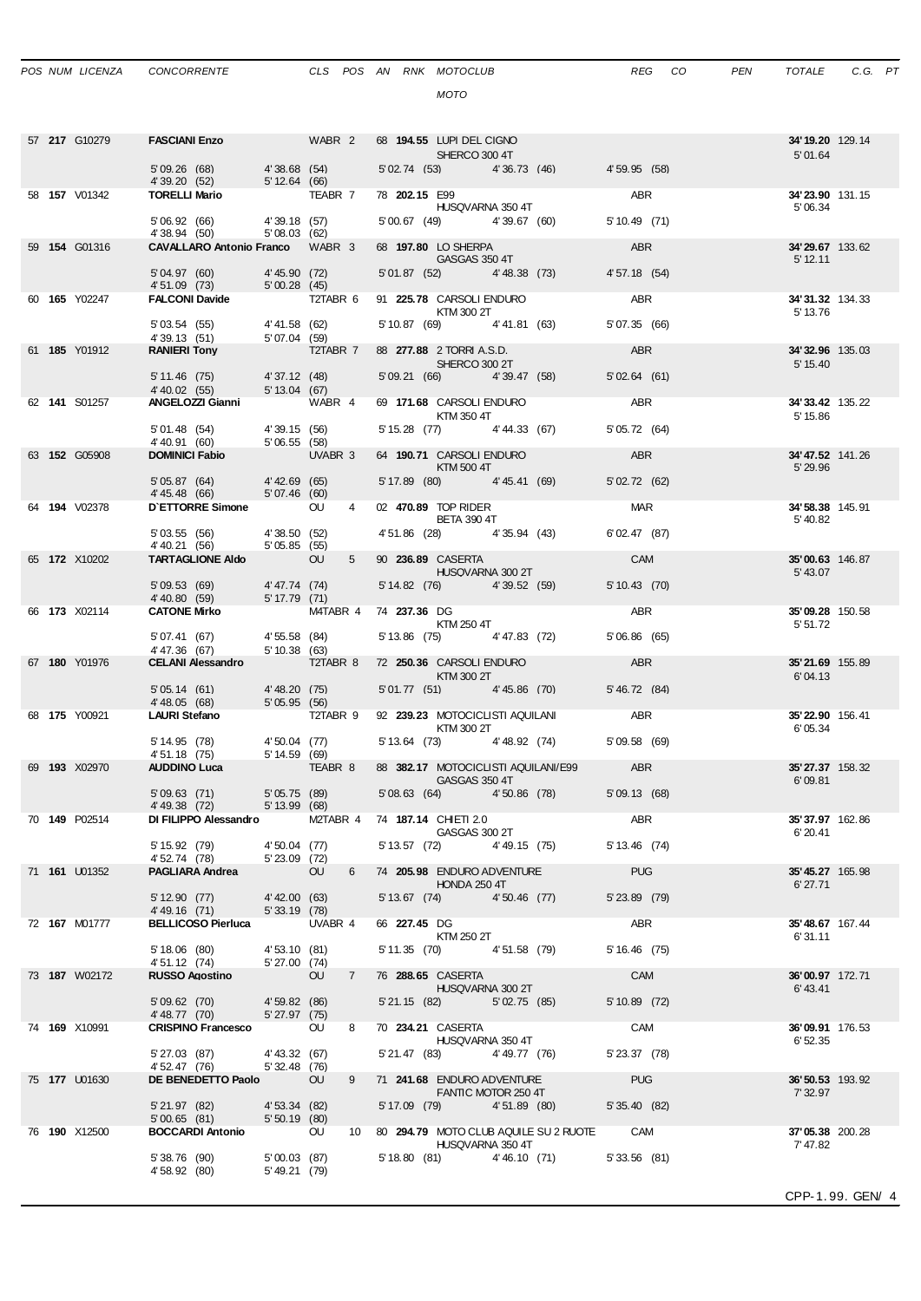*MOTO*

|  | 57 217 G10279        | FASCIANI Enzo WABR 2 68 194.55 LUPI DEL CIGNO                                               |                                |                                  |           | SHERCO 300 4T                                                                                                                                                                                                                                                 |                                         |                                              | 34'19.20 129.14<br>5'01.64    |                  |
|--|----------------------|---------------------------------------------------------------------------------------------|--------------------------------|----------------------------------|-----------|---------------------------------------------------------------------------------------------------------------------------------------------------------------------------------------------------------------------------------------------------------------|-----------------------------------------|----------------------------------------------|-------------------------------|------------------|
|  |                      | 5'09.26 (68) 4'38.68 (54)<br>4' 39.20 (52) 5' 12.64 (66)                                    |                                |                                  |           |                                                                                                                                                                                                                                                               |                                         | 5'02.74 (53) 4'36.73 (46) 4'59.95 (58)       |                               |                  |
|  | 58 <b>157</b> V01342 | <b>TORELLI Mario 7 TEABR 7</b>                                                              |                                |                                  |           | 78 202.15 E99<br>HUSQVARNA 350 4T                                                                                                                                                                                                                             |                                         | ABR                                          | 34'23.90 131.15<br>5'06.34    |                  |
|  |                      | 5'06.92 (66) 4'39.18 (57)<br>4'38.94 (50)                                                   | 5'08.03(62)                    |                                  |           | 5'00.67 (49) 4'39.67 (60)                                                                                                                                                                                                                                     |                                         | 5' 10.49 (71)                                |                               |                  |
|  | 59 154 G01316        | <b>CAVALLARO Antonio Franco</b> WABR 3                                                      |                                |                                  |           | 68 197.80 LO SHERPA<br><b>GASGAS 350 4T</b>                                                                                                                                                                                                                   |                                         | ABR                                          | 34'29.67 133.62<br>$5'$ 12.11 |                  |
|  |                      | 5'04.97 (60)<br>5'04.97 (60) 4'45.90 (72)<br>4'51.09 (73) 5'00.28 (45)                      |                                | 4'45.90 (72)                     |           | 5'01.87 (52) 4'48.38 (73)                                                                                                                                                                                                                                     |                                         | 4' 57.18 (54)                                |                               |                  |
|  | 60 165 Y02247        | FALCONI Davide T2TABR 6                                                                     |                                |                                  |           | 91 225.78 CARSOLI ENDURO<br>KTM 300 2T                                                                                                                                                                                                                        |                                         | ABR                                          | 34'31.32 134.33<br>5' 13.76   |                  |
|  |                      | 5'03.54 (55) 4'41.58 (62)                                                                   |                                |                                  |           | 5' 10.87 (69) 4' 41.81 (63)                                                                                                                                                                                                                                   |                                         | 5'07.35 (66)                                 |                               |                  |
|  | 61 185 Y01912        | 4' 39.13 (51) 5' 07.04 (59)<br><b>RANIERI Tony</b> 5' 07.04 T2TABR 7<br><b>RANIERI Tony</b> |                                |                                  |           | 88 277.88 2 TORRIA S.D.                                                                                                                                                                                                                                       |                                         | ABR                                          | 34'32.96 135.03               |                  |
|  |                      | $5'11.46$ (75)                                                                              |                                | $4'37.12$ (48)<br>$5'13.04$ (67) |           | <b>SHERCO 300 2T</b><br>5' 09.21 (66) 4' 39.47 (58)                                                                                                                                                                                                           |                                         | 5'02.64(61)                                  | 5' 15.40                      |                  |
|  | 62 141 S01257        | 4' 40.02 (55)<br>ANGELOZZI Gianni WABR 4                                                    |                                |                                  |           | 69 171.68 CARSOLI ENDURO                                                                                                                                                                                                                                      |                                         | ABR <sub>2</sub>                             | 34'33.42 135.22               |                  |
|  |                      | 5'01.48 (54) 4'39.15 (56)                                                                   |                                |                                  |           | KTM 350 4T<br>5' 15.28 (77) 4' 44.33 (67)                                                                                                                                                                                                                     |                                         | 5' 05.72 (64)                                | 5' 15.86                      |                  |
|  | 63 152 G05908        | 4' 40.91 (60)<br><b>DOMINICI Fabio</b> 5' 06.55 (58)                                        |                                | UVABR 3                          |           | 64 190.71 CARSOLI ENDURO                                                                                                                                                                                                                                      |                                         | <b>ABR</b>                                   | 34'47.52 141.26               |                  |
|  |                      | 5'05.87 (64) 4'42.69 (65)                                                                   |                                |                                  |           | KTM 500 4T<br>5' 17.89 (80) 4' 45.41 (69)                                                                                                                                                                                                                     |                                         | 5'02.72(62)                                  | 5' 29.96                      |                  |
|  | 64 194 V02378        | 4' 45.48 (66) 5' 07.46 (60)<br>D'ETTORRE Simone OU                                          |                                |                                  | $4 \quad$ | 02 470.89 TOP RIDER                                                                                                                                                                                                                                           |                                         | <b>MAR</b>                                   | 34'58.38 145.91               |                  |
|  |                      |                                                                                             |                                |                                  |           | <b>BETA 390 4T</b>                                                                                                                                                                                                                                            |                                         |                                              | 5'40.82                       |                  |
|  |                      | 5' 03.55 (56) 4' 38.50 (52)<br>4' 40.21 (56) 5' 05.85 (55)                                  |                                |                                  |           |                                                                                                                                                                                                                                                               | 4' 51.86 (28) 4' 35.94 (43)             | 6'02.47 (87)                                 |                               |                  |
|  | 65 172 X10202        | <b>TARTAGLIONE AIdo</b>                                                                     |                                | OU                               | $5 -$     | 90 236.89 CASERTA<br><b>HUSQVARNA 300 2T</b>                                                                                                                                                                                                                  |                                         | <b>CAM</b>                                   | 35'00.63 146.87<br>5' 43.07   |                  |
|  |                      | $5'09.53(69)$ 4'47.74 (74)<br>4'40.80 (59) 5'17.79 (71)                                     |                                |                                  |           | 5' 14.82 (76) 4' 39.52 (59)                                                                                                                                                                                                                                   |                                         | 5' 10.43 (70)                                |                               |                  |
|  | 66 173 X02114        | <b>CATONE Mirko</b>                                                                         |                                |                                  |           | M4TABR 4 74 237.36 DG<br>KTM 250 4T                                                                                                                                                                                                                           |                                         | ABR                                          | 35'09.28 150.58<br>5' 51.72   |                  |
|  |                      | 5' 07.41 (67) 4' 55.58 (84)<br>4'47.36 (67)                                                 |                                |                                  |           | 5' 13.86 (75) 4' 47.83 (72)                                                                                                                                                                                                                                   |                                         | 5'06.86(65)                                  |                               |                  |
|  | 67 180 Y01976        | <b>CELANI Alessandro T2TABR 8</b>                                                           | 5' 10.38 (63)                  |                                  |           | 72 250.36 CARSOLI ENDURO                                                                                                                                                                                                                                      |                                         | ABR                                          | 35'21.69 155.89               |                  |
|  |                      | 5' 05.14 (61) 4' 48.20 (75)<br>4' 48.05 (68) 5' 05.95 (56)                                  |                                |                                  |           | $\blacksquare$ $\blacksquare$ $\blacksquare$ $\blacksquare$ $\blacksquare$ $\blacksquare$ $\blacksquare$ $\blacksquare$ $\blacksquare$ $\blacksquare$ $\blacksquare$ $\blacksquare$ $\blacksquare$ $\blacksquare$ $\blacksquare$<br>5'01.77 (51) 4'45.86 (70) |                                         | 5' 46.72 (84)                                | 6'04.13                       |                  |
|  | 68 <b>175</b> Y00921 | <b>LAURI Stefano</b>                                                                        |                                | T2TABR 9                         |           |                                                                                                                                                                                                                                                               |                                         | 92 239.23 MOTOCICLISTI AQUILANI ABR          | 35'22.90 156.41               |                  |
|  |                      | 5' 14.95 (78) 4' 50.04 (77)                                                                 |                                |                                  |           | KTM 300 2T<br>5' 13.64 (73) 4' 48.92 (74)                                                                                                                                                                                                                     |                                         | 5'09.58 (69)                                 | 6'05.34                       |                  |
|  | 69 193 X02970        | $4'51.18$ (75) $5'14.59$ (69)<br>AUDINO Luca<br><b>AUDDINO Luca</b>                         |                                | TEABR 8                          |           |                                                                                                                                                                                                                                                               | 88 382.17 MOTOCICLISTI AQUILANI/E99 ABR |                                              | 35' 27.37 158.32              |                  |
|  |                      | 5'09.63(71)                                                                                 |                                |                                  |           | <b>GASGAS 350 4T</b>                                                                                                                                                                                                                                          | 5'08.63 (64) 4'50.86 (78)               | 5' 09.13 (68)                                | 6'09.81                       |                  |
|  |                      | 4'49.38 (72)                                                                                | 5' 05.75 (89)<br>5' 13.99 (68) |                                  |           |                                                                                                                                                                                                                                                               |                                         |                                              |                               |                  |
|  | 70 <b>149</b> P02514 | DI FILIPPO Alessandro M2TABR 4 74 187.14 CHIETI 2.0                                         |                                |                                  |           | GASGAS 300 2T                                                                                                                                                                                                                                                 |                                         | ABR                                          | 35' 37.97 162.86<br>6'20.41   |                  |
|  |                      | 5' 15.92 (79)<br>4' 52.74 (78)                                                              | 5' 23.09 (72)                  | 4'50.04 (77)                     |           |                                                                                                                                                                                                                                                               | 5' 13.57 (72) 4' 49.15 (75)             | 5' 13.46 (74)                                |                               |                  |
|  | 71 161 U01352        | <b>PAGLIARA Andrea</b>                                                                      |                                | <b>OU</b>                        |           | 6 74 205.98 ENDURO ADVENTURE<br><b>HONDA 250 4T</b>                                                                                                                                                                                                           |                                         | <b>PUG</b>                                   | 35'45.27 165.98<br>6' 27.71   |                  |
|  |                      | 5' 12.90 (77)<br>4'49.16 (71)                                                               | 5'33.19(78)                    | 4'42.00 (63)                     |           | 5' 13.67 (74) 4' 50.46 (77)                                                                                                                                                                                                                                   |                                         | 5' 23.89 (79)                                |                               |                  |
|  | 72 167 M01777        | BELLICOSO Pierluca UVABR 4                                                                  |                                |                                  |           | 66 227.45 DG<br><b>KTM 250 2T</b>                                                                                                                                                                                                                             |                                         | ABR                                          | 35'48.67 167.44<br>6'31.11    |                  |
|  |                      | 5' 18.06 (80)                                                                               | $4'53.10$ (81)<br>5' 27 00 (7) |                                  |           | 5' 11.35 (70) 4' 51.58 (79)                                                                                                                                                                                                                                   |                                         | $5'16.46$ (75)                               |                               |                  |
|  | 73 187 W02172        | 4' 51.12 (74)<br><b>RUSSO Agostino</b>                                                      |                                | OU                               | $7 -$     | 76 288.65 CASERTA                                                                                                                                                                                                                                             |                                         | <b>CAM</b>                                   | 36'00.97 172.71               |                  |
|  |                      | 5' 09.62 (70)                                                                               | 4'59.82 (86)                   |                                  |           | HUSQVARNA 300 2T<br>5'21.15 (82) 5'02.75 (85)                                                                                                                                                                                                                 |                                         | 5' 10.89 (72)                                | 6'43.41                       |                  |
|  | 74 169 X10991        | 4' 48.77 (70)<br>CRISPINO Francesco OU                                                      | 5'27.97(75)                    | 8                                |           | 70 234.21 CASERTA                                                                                                                                                                                                                                             |                                         | CAM                                          | 36'09.91 176.53               |                  |
|  |                      | 5' 27.03 (87)                                                                               | 4' 43.32 (67)                  |                                  |           | HUSQVARNA 350 4T<br>5' 21.47 (83) 4' 49.77 (76)                                                                                                                                                                                                               |                                         | 5' 23.37 (78)                                | 6' 52.35                      |                  |
|  | 75 177 U01630        | 4' 52.47 (76)<br>DE BENEDETTO Paolo OU                                                      | 5'32.48 (76)                   | 9                                |           | 71 241.68 ENDURO ADVENTURE                                                                                                                                                                                                                                    |                                         | <b>PUG</b>                                   | 36'50.53 193.92               |                  |
|  |                      |                                                                                             |                                |                                  |           | FANTIC MOTOR 250 4T                                                                                                                                                                                                                                           |                                         |                                              | 7' 32.97                      |                  |
|  |                      | 5' 21.97 (82) 4' 53.34 (82)<br>5'00.65(81)                                                  | 5'50.19(80)                    |                                  |           | 5' 17.09 (79) 4' 51.89 (80)                                                                                                                                                                                                                                   |                                         | 5' 35.40 (82)                                |                               |                  |
|  | 76 190 X12500        | BOCCARDI Antonio OU                                                                         |                                |                                  |           | HUSQVARNA 350 4T                                                                                                                                                                                                                                              |                                         | 10 80 294.79 MOTO CLUB AQUILE SU 2 RUOTE CAM | 37'05.38 200.28<br>7' 47.82   |                  |
|  |                      | 5' 38.76 (90)<br>4' 58.92 (80)                                                              | 5'00.03 (87)<br>5'49.21 (79)   |                                  |           |                                                                                                                                                                                                                                                               |                                         | 5' 18.80 (81) 4' 46.10 (71) 5' 33.56 (81)    |                               |                  |
|  |                      |                                                                                             |                                |                                  |           |                                                                                                                                                                                                                                                               |                                         |                                              |                               | CPP-1.99. GEN/ 4 |